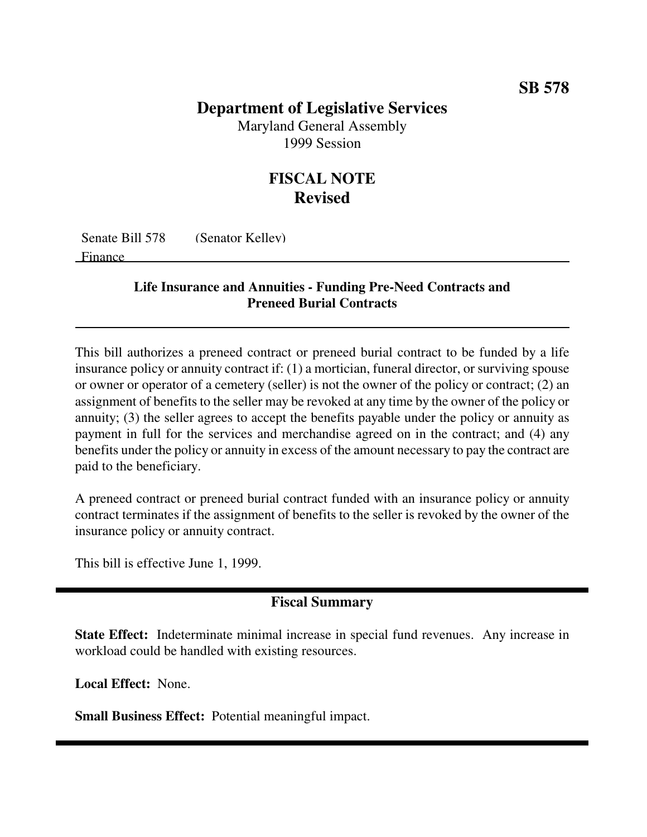## **Department of Legislative Services**

Maryland General Assembly 1999 Session

# **FISCAL NOTE Revised**

Senate Bill 578 (Senator Kelley) Finance

#### **Life Insurance and Annuities - Funding Pre-Need Contracts and Preneed Burial Contracts**

This bill authorizes a preneed contract or preneed burial contract to be funded by a life insurance policy or annuity contract if: (1) a mortician, funeral director, or surviving spouse or owner or operator of a cemetery (seller) is not the owner of the policy or contract; (2) an assignment of benefits to the seller may be revoked at any time by the owner of the policy or annuity; (3) the seller agrees to accept the benefits payable under the policy or annuity as payment in full for the services and merchandise agreed on in the contract; and (4) any benefits under the policy or annuity in excess of the amount necessary to pay the contract are paid to the beneficiary.

A preneed contract or preneed burial contract funded with an insurance policy or annuity contract terminates if the assignment of benefits to the seller is revoked by the owner of the insurance policy or annuity contract.

This bill is effective June 1, 1999.

### **Fiscal Summary**

**State Effect:** Indeterminate minimal increase in special fund revenues. Any increase in workload could be handled with existing resources.

**Local Effect:** None.

**Small Business Effect:** Potential meaningful impact.